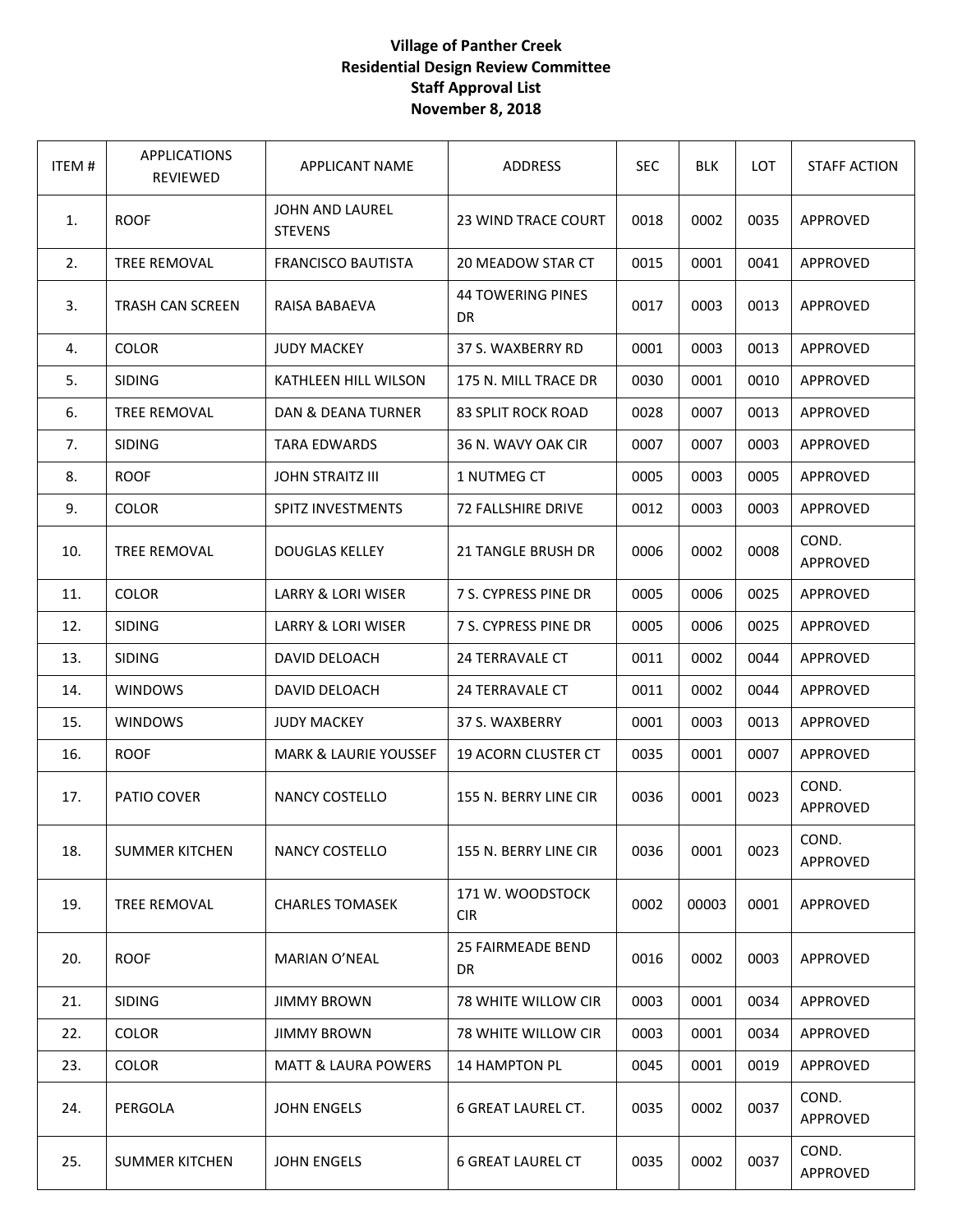## **Village of Panther Creek Residential Design Review Committee Staff Approval List November 8, 2018**

| ITEM# | <b>APPLICATIONS</b><br>REVIEWED | <b>APPLICANT NAME</b>                    | <b>ADDRESS</b>                 | <b>SEC</b> | <b>BLK</b> | <b>LOT</b> | <b>STAFF ACTION</b> |
|-------|---------------------------------|------------------------------------------|--------------------------------|------------|------------|------------|---------------------|
| 1.    | <b>ROOF</b>                     | <b>JOHN AND LAUREL</b><br><b>STEVENS</b> | 23 WIND TRACE COURT            | 0018       | 0002       | 0035       | APPROVED            |
| 2.    | TREE REMOVAL                    | <b>FRANCISCO BAUTISTA</b>                | 20 MEADOW STAR CT              | 0015       | 0001       | 0041       | APPROVED            |
| 3.    | <b>TRASH CAN SCREEN</b>         | RAISA BABAEVA                            | <b>44 TOWERING PINES</b><br>DR | 0017       | 0003       | 0013       | APPROVED            |
| 4.    | COLOR                           | <b>JUDY MACKEY</b>                       | 37 S. WAXBERRY RD              | 0001       | 0003       | 0013       | <b>APPROVED</b>     |
| 5.    | <b>SIDING</b>                   | KATHLEEN HILL WILSON                     | 175 N. MILL TRACE DR           | 0030       | 0001       | 0010       | APPROVED            |
| 6.    | TREE REMOVAL                    | DAN & DEANA TURNER                       | <b>83 SPLIT ROCK ROAD</b>      | 0028       | 0007       | 0013       | APPROVED            |
| 7.    | <b>SIDING</b>                   | <b>TARA EDWARDS</b>                      | 36 N. WAVY OAK CIR             | 0007       | 0007       | 0003       | APPROVED            |
| 8.    | <b>ROOF</b>                     | <b>JOHN STRAITZ III</b>                  | 1 NUTMEG CT                    | 0005       | 0003       | 0005       | APPROVED            |
| 9.    | COLOR                           | <b>SPITZ INVESTMENTS</b>                 | 72 FALLSHIRE DRIVE             | 0012       | 0003       | 0003       | APPROVED            |
| 10.   | TREE REMOVAL                    | <b>DOUGLAS KELLEY</b>                    | <b>21 TANGLE BRUSH DR</b>      | 0006       | 0002       | 0008       | COND.<br>APPROVED   |
| 11.   | <b>COLOR</b>                    | LARRY & LORI WISER                       | 7 S. CYPRESS PINE DR           | 0005       | 0006       | 0025       | APPROVED            |
| 12.   | <b>SIDING</b>                   | LARRY & LORI WISER                       | 7 S. CYPRESS PINE DR           | 0005       | 0006       | 0025       | APPROVED            |
| 13.   | <b>SIDING</b>                   | DAVID DELOACH                            | <b>24 TERRAVALE CT</b>         | 0011       | 0002       | 0044       | APPROVED            |
| 14.   | <b>WINDOWS</b>                  | DAVID DELOACH                            | <b>24 TERRAVALE CT</b>         | 0011       | 0002       | 0044       | APPROVED            |
| 15.   | <b>WINDOWS</b>                  | <b>JUDY MACKEY</b>                       | 37 S. WAXBERRY                 | 0001       | 0003       | 0013       | APPROVED            |
| 16.   | <b>ROOF</b>                     | <b>MARK &amp; LAURIE YOUSSEF</b>         | <b>19 ACORN CLUSTER CT</b>     | 0035       | 0001       | 0007       | APPROVED            |
| 17.   | PATIO COVER                     | NANCY COSTELLO                           | 155 N. BERRY LINE CIR          | 0036       | 0001       | 0023       | COND.<br>APPROVED   |
| 18.   | <b>SUMMER KITCHEN</b>           | <b>NANCY COSTELLO</b>                    | 155 N. BERRY LINE CIR          | 0036       | 0001       | 0023       | COND.<br>APPROVED   |
| 19.   | TREE REMOVAL                    | <b>CHARLES TOMASEK</b>                   | 171 W. WOODSTOCK<br><b>CIR</b> | 0002       | 00003      | 0001       | APPROVED            |
| 20.   | <b>ROOF</b>                     | <b>MARIAN O'NEAL</b>                     | 25 FAIRMEADE BEND<br>DR        | 0016       | 0002       | 0003       | APPROVED            |
| 21.   | <b>SIDING</b>                   | <b>JIMMY BROWN</b>                       | 78 WHITE WILLOW CIR            | 0003       | 0001       | 0034       | APPROVED            |
| 22.   | COLOR                           | <b>JIMMY BROWN</b>                       | <b>78 WHITE WILLOW CIR</b>     | 0003       | 0001       | 0034       | APPROVED            |
| 23.   | COLOR                           | <b>MATT &amp; LAURA POWERS</b>           | <b>14 HAMPTON PL</b>           | 0045       | 0001       | 0019       | APPROVED            |
| 24.   | PERGOLA                         | <b>JOHN ENGELS</b>                       | <b>6 GREAT LAUREL CT.</b>      | 0035       | 0002       | 0037       | COND.<br>APPROVED   |
| 25.   | <b>SUMMER KITCHEN</b>           | <b>JOHN ENGELS</b>                       | <b>6 GREAT LAUREL CT</b>       | 0035       | 0002       | 0037       | COND.<br>APPROVED   |